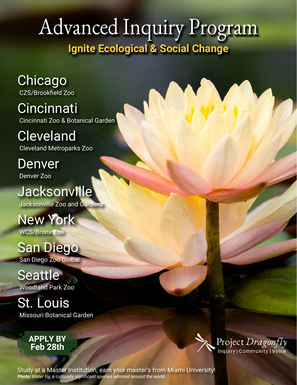# [Advanced Inquiry Program](http://aip.miamioh.edu) **Ignite Ecological & Social Change**

[Chicago](http://www.czs.org/Brookfield-ZOO/Learning/Advanced-Inquiry-Master-s-Program.aspx) [CZS/Brookfield Zoo](http://www.czs.org/Brookfield-ZOO/Learning/Advanced-Inquiry-Master-s-Program.aspx)

**[Cincinnati](http://cincinnatizoo.org/education/adults/masters-degree-2/)** [Cincinnati Zoo & Botanical Garden](http://cincinnatizoo.org/education/adults/masters-degree-2/)

[Cleveland](https://www.clevelandmetroparks.com/zoo/learn/educational-programs/educational-opportunities/aip-master-s-advanced-inquiry-program) [Cleveland Metroparks Zoo](https://www.clevelandmetroparks.com/zoo/learn/educational-programs/educational-opportunities/aip-master-s-advanced-inquiry-program)

**[Denver](http://www.denverzoo.org/AIP)** [Denver Zoo](http://www.denverzoo.org/AIP)

## **[Jacksonville](https://aip.jacksonvillezoo.org/)**

 [Jacksonville Zoo and Gardens](https://aip.jacksonvillezoo.org/)

[New York](https://www.wcs.org/education/professional-development/advanced-inquiry-program) [WCS/Bronx Zoo](https://www.wcs.org/education/professional-development/advanced-inquiry-program)

## [San Diego](https://institute.sandiegozoo.org/aip/aip-masters-degree-program)

[San Diego Zoo Global](https://institute.sandiegozoo.org/aip/aip-masters-degree-program)

[Seattle](https://www.zoo.org/education/teachers/aip) [Woodland Park Zoo](https://www.zoo.org/education/teachers/aip)

[St. Louis](https://discover.missouribotanicalgarden.org/aip) [Missouri Botanical Garden](https://discover.missouribotanicalgarden.org/aip)

## **[APPLY BY](http://aip.miamioh.edu) Feb 28th**



Study at a Master Institution; earn your master's from [Miami University!](http://www.miamioh.edu) *Photo: Water lily, a culturally significant species admired around the world.*